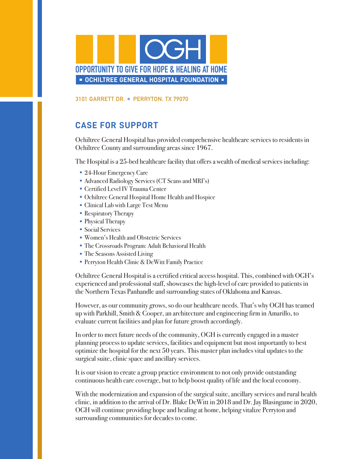

**3101 GARRETT DR. PERRYTON, TX 79070**

## **CASE FOR SUPPORT**

Ochiltree General Hospital has provided comprehensive healthcare services to residents in Ochiltree County and surrounding areas since 1967.

The Hospital is a 25-bed healthcare facility that offers a wealth of medical services including:

- 24-Hour Emergency Care
- Advanced Radiology Services (CT Scans and MRI's)
- Certified Level IV Trauma Center
- Ochiltree General Hospital Home Health and Hospice
- Clinical Lab with Large Test Menu
- Respiratory Therapy
- Physical Therapy
- Social Services
- Women's Health and Obstetric Services
- The Crossroads Program: Adult Behavioral Health
- The Seasons Assisted Living
- Perryton Health Clinic & DeWitt Family Practice

Ochiltree General Hospital is a certified critical access hospital. This, combined with OGH's experienced and professional staff, showcases the high-level of care provided to patients in the Northern Texas Panhandle and surrounding states of Oklahoma and Kansas.

However, as our community grows, so do our healthcare needs. That's why OGH has teamed up with Parkhill, Smith & Cooper, an architecture and engineering firm in Amarillo, to evaluate current facilities and plan for future growth accordingly.

In order to meet future needs of the community, OGH is currently engaged in a master planning process to update services, facilities and equipment but most importantly to best optimize the hospital for the next 50 years. This master plan includes vital updates to the surgical suite, clinic space and ancillary services.

It is our vision to create a group practice environment to not only provide outstanding continuous health care coverage, but to help boost quality of life and the local economy.

With the modernization and expansion of the surgical suite, ancillary services and rural health clinic, in addition to the arrival of Dr. Blake DeWitt in 2018 and Dr. Jay Blasingame in 2020, OGH will continue providing hope and healing at home, helping vitalize Perryton and surrounding communities for decades to come.